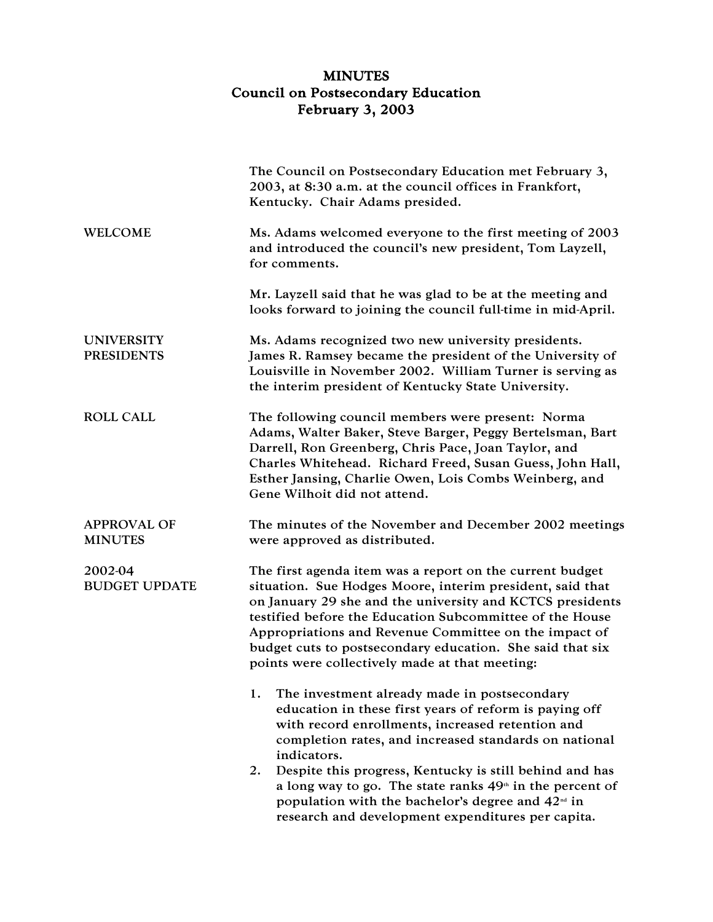## MINUTES Council on Postsecondary Education February 3, 2003

|                                        | The Council on Postsecondary Education met February 3,<br>2003, at 8:30 a.m. at the council offices in Frankfort,<br>Kentucky. Chair Adams presided.                                                                                                                                                                                                                                                                   |
|----------------------------------------|------------------------------------------------------------------------------------------------------------------------------------------------------------------------------------------------------------------------------------------------------------------------------------------------------------------------------------------------------------------------------------------------------------------------|
| <b>WELCOME</b>                         | Ms. Adams welcomed everyone to the first meeting of 2003<br>and introduced the council's new president, Tom Layzell,<br>for comments.                                                                                                                                                                                                                                                                                  |
|                                        | Mr. Layzell said that he was glad to be at the meeting and<br>looks forward to joining the council full-time in mid-April.                                                                                                                                                                                                                                                                                             |
| <b>UNIVERSITY</b><br><b>PRESIDENTS</b> | Ms. Adams recognized two new university presidents.<br>James R. Ramsey became the president of the University of<br>Louisville in November 2002. William Turner is serving as<br>the interim president of Kentucky State University.                                                                                                                                                                                   |
| <b>ROLL CALL</b>                       | The following council members were present: Norma<br>Adams, Walter Baker, Steve Barger, Peggy Bertelsman, Bart<br>Darrell, Ron Greenberg, Chris Pace, Joan Taylor, and<br>Charles Whitehead. Richard Freed, Susan Guess, John Hall,<br>Esther Jansing, Charlie Owen, Lois Combs Weinberg, and<br>Gene Wilhoit did not attend.                                                                                          |
| <b>APPROVAL OF</b><br><b>MINUTES</b>   | The minutes of the November and December 2002 meetings<br>were approved as distributed.                                                                                                                                                                                                                                                                                                                                |
| 2002-04<br><b>BUDGET UPDATE</b>        | The first agenda item was a report on the current budget<br>situation. Sue Hodges Moore, interim president, said that<br>on January 29 she and the university and KCTCS presidents<br>testified before the Education Subcommittee of the House<br>Appropriations and Revenue Committee on the impact of<br>budget cuts to postsecondary education. She said that six<br>points were collectively made at that meeting: |
|                                        | 1.<br>The investment already made in postsecondary<br>education in these first years of reform is paying off<br>with record enrollments, increased retention and<br>completion rates, and increased standards on national                                                                                                                                                                                              |
|                                        | indicators.<br>Despite this progress, Kentucky is still behind and has<br>2.<br>a long way to go. The state ranks 49 <sup>th</sup> in the percent of<br>population with the bachelor's degree and $42nd$ in<br>research and development expenditures per capita.                                                                                                                                                       |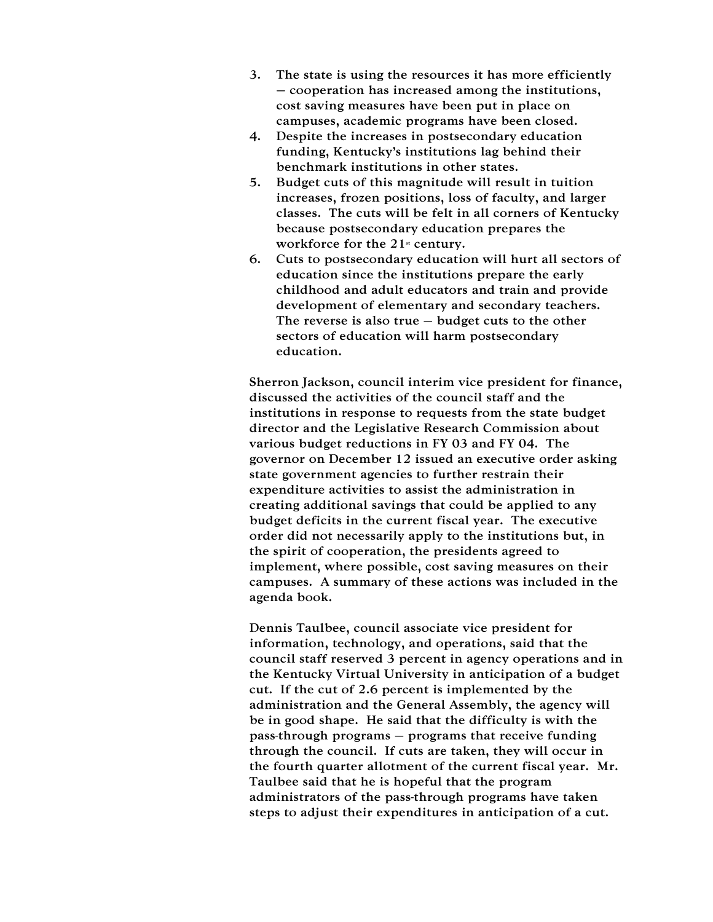- 3. The state is using the resources it has more efficiently – cooperation has increased among the institutions, cost saving measures have been put in place on campuses, academic programs have been closed.
- 4. Despite the increases in postsecondary education funding, Kentucky's institutions lag behind their benchmark institutions in other states.
- 5. Budget cuts of this magnitude will result in tuition increases, frozen positions, loss of faculty, and larger classes. The cuts will be felt in all corners of Kentucky because postsecondary education prepares the workforce for the  $21<sup>st</sup>$  century.
- 6. Cuts to postsecondary education will hurt all sectors of education since the institutions prepare the early childhood and adult educators and train and provide development of elementary and secondary teachers. The reverse is also true  $-$  budget cuts to the other sectors of education will harm postsecondary education.

Sherron Jackson, council interim vice president for finance, discussed the activities of the council staff and the institutions in response to requests from the state budget director and the Legislative Research Commission about various budget reductions in FY 03 and FY 04. The governor on December 12 issued an executive order asking state government agencies to further restrain their expenditure activities to assist the administration in creating additional savings that could be applied to any budget deficits in the current fiscal year. The executive order did not necessarily apply to the institutions but, in the spirit of cooperation, the presidents agreed to implement, where possible, cost saving measures on their campuses. A summary of these actions was included in the agenda book.

Dennis Taulbee, council associate vice president for information, technology, and operations, said that the council staff reserved 3 percent in agency operations and in the Kentucky Virtual University in anticipation of a budget cut. If the cut of 2.6 percent is implemented by the administration and the General Assembly, the agency will be in good shape. He said that the difficulty is with the pass-through programs – programs that receive funding through the council. If cuts are taken, they will occur in the fourth quarter allotment of the current fiscal year. Mr. Taulbee said that he is hopeful that the program administrators of the pass-through programs have taken steps to adjust their expenditures in anticipation of a cut.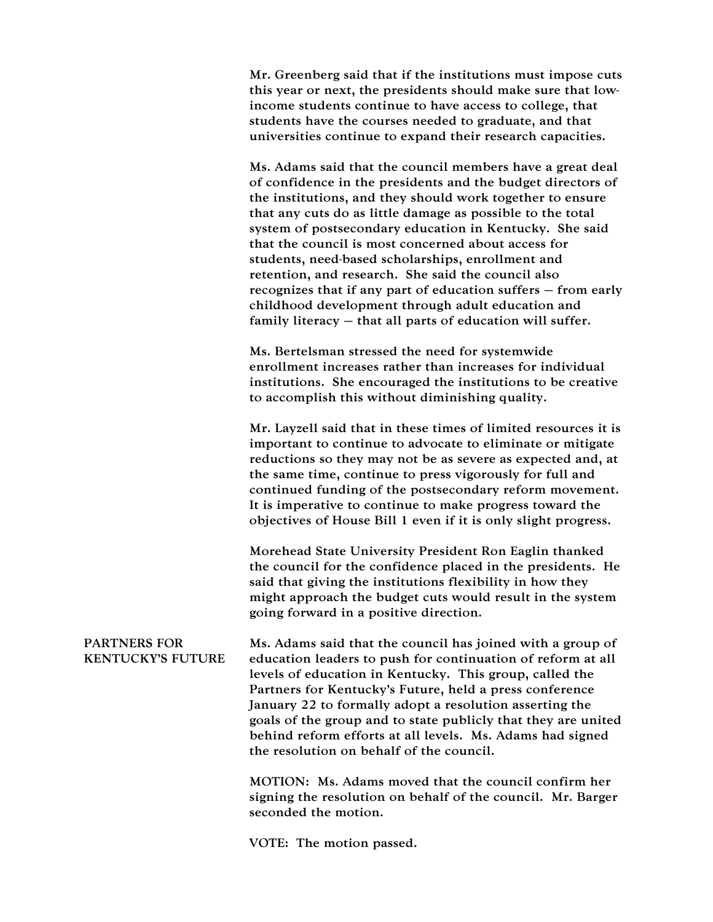Mr. Greenberg said that if the institutions must impose cuts this year or next, the presidents should make sure that lowincome students continue to have access to college, that students have the courses needed to graduate, and that universities continue to expand their research capacities.

Ms. Adams said that the council members have a great deal of confidence in the presidents and the budget directors of the institutions, and they should work together to ensure that any cuts do as little damage as possible to the total system of postsecondary education in Kentucky. She said that the council is most concerned about access for students, need-based scholarships, enrollment and retention, and research. She said the council also recognizes that if any part of education suffers – from early childhood development through adult education and family literacy – that all parts of education will suffer.

Ms. Bertelsman stressed the need for systemwide enrollment increases rather than increases for individual institutions. She encouraged the institutions to be creative to accomplish this without diminishing quality.

Mr. Layzell said that in these times of limited resources it is important to continue to advocate to eliminate or mitigate reductions so they may not be as severe as expected and, at the same time, continue to press vigorously for full and continued funding of the postsecondary reform movement. It is imperative to continue to make progress toward the objectives of House Bill 1 even if it is only slight progress.

Morehead State University President Ron Eaglin thanked the council for the confidence placed in the presidents. He said that giving the institutions flexibility in how they might approach the budget cuts would result in the system going forward in a positive direction.

PARTNERS FOR KENTUCKY'S FUTURE Ms. Adams said that the council has joined with a group of education leaders to push for continuation of reform at all levels of education in Kentucky. This group, called the Partners for Kentucky's Future, held a press conference January 22 to formally adopt a resolution asserting the goals of the group and to state publicly that they are united behind reform efforts at all levels. Ms. Adams had signed the resolution on behalf of the council.

> MOTION: Ms. Adams moved that the council confirm her signing the resolution on behalf of the council. Mr. Barger seconded the motion.

VOTE: The motion passed.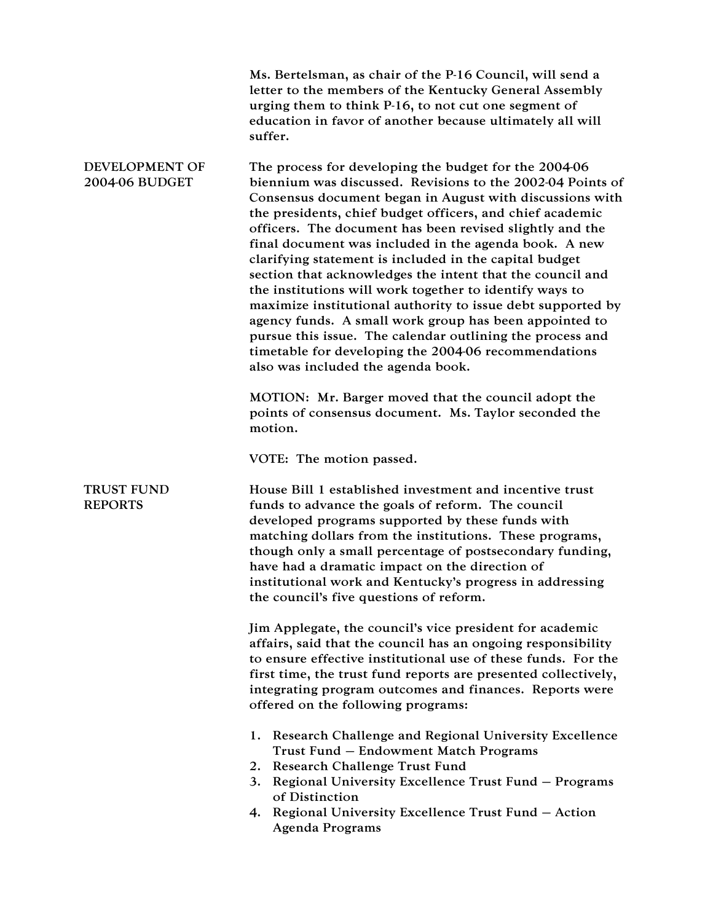|                                         | Ms. Bertelsman, as chair of the P-16 Council, will send a<br>letter to the members of the Kentucky General Assembly<br>urging them to think P-16, to not cut one segment of<br>education in favor of another because ultimately all will<br>suffer.                                                                                                                                                                                                                                                                                                                                                                                                                                                                                                                                                                                     |
|-----------------------------------------|-----------------------------------------------------------------------------------------------------------------------------------------------------------------------------------------------------------------------------------------------------------------------------------------------------------------------------------------------------------------------------------------------------------------------------------------------------------------------------------------------------------------------------------------------------------------------------------------------------------------------------------------------------------------------------------------------------------------------------------------------------------------------------------------------------------------------------------------|
| DEVELOPMENT OF<br><b>2004-06 BUDGET</b> | The process for developing the budget for the 2004-06<br>biennium was discussed. Revisions to the 2002-04 Points of<br>Consensus document began in August with discussions with<br>the presidents, chief budget officers, and chief academic<br>officers. The document has been revised slightly and the<br>final document was included in the agenda book. A new<br>clarifying statement is included in the capital budget<br>section that acknowledges the intent that the council and<br>the institutions will work together to identify ways to<br>maximize institutional authority to issue debt supported by<br>agency funds. A small work group has been appointed to<br>pursue this issue. The calendar outlining the process and<br>timetable for developing the 2004-06 recommendations<br>also was included the agenda book. |
|                                         | MOTION: Mr. Barger moved that the council adopt the<br>points of consensus document. Ms. Taylor seconded the<br>motion.                                                                                                                                                                                                                                                                                                                                                                                                                                                                                                                                                                                                                                                                                                                 |
|                                         | VOTE: The motion passed.                                                                                                                                                                                                                                                                                                                                                                                                                                                                                                                                                                                                                                                                                                                                                                                                                |
| <b>TRUST FUND</b><br><b>REPORTS</b>     | House Bill 1 established investment and incentive trust<br>funds to advance the goals of reform. The council<br>developed programs supported by these funds with<br>matching dollars from the institutions. These programs,<br>though only a small percentage of postsecondary funding,<br>have had a dramatic impact on the direction of<br>institutional work and Kentucky's progress in addressing<br>the council's five questions of reform.                                                                                                                                                                                                                                                                                                                                                                                        |
|                                         | Jim Applegate, the council's vice president for academic<br>affairs, said that the council has an ongoing responsibility<br>to ensure effective institutional use of these funds. For the<br>first time, the trust fund reports are presented collectively,<br>integrating program outcomes and finances. Reports were<br>offered on the following programs:                                                                                                                                                                                                                                                                                                                                                                                                                                                                            |
|                                         | 1. Research Challenge and Regional University Excellence<br>Trust Fund - Endowment Match Programs<br>2. Research Challenge Trust Fund<br>3. Regional University Excellence Trust Fund - Programs<br>of Distinction<br>4. Regional University Excellence Trust Fund - Action<br><b>Agenda Programs</b>                                                                                                                                                                                                                                                                                                                                                                                                                                                                                                                                   |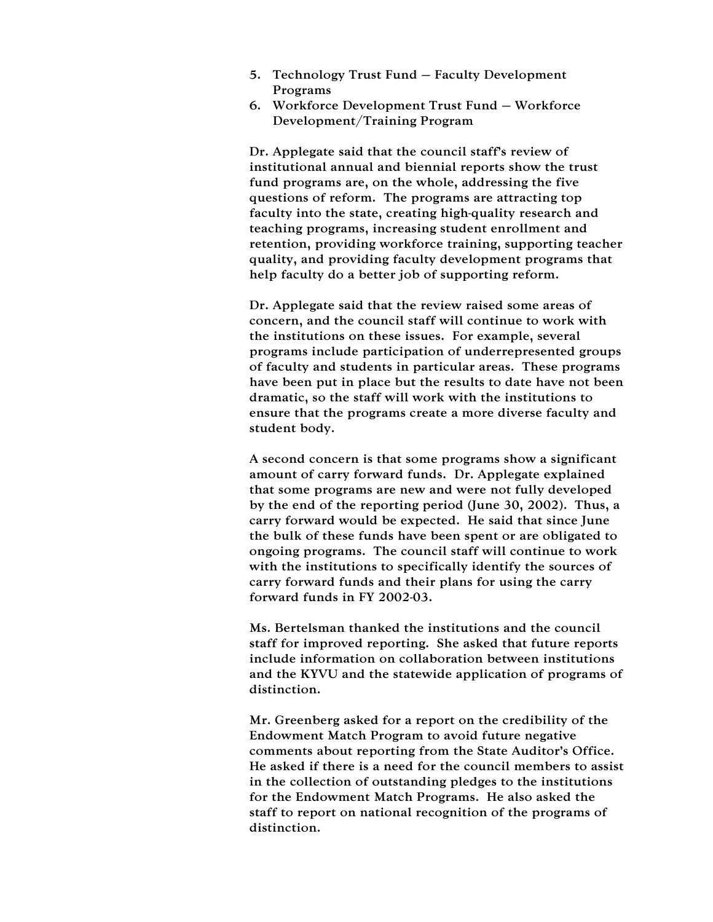- 5. Technology Trust Fund Faculty Development Programs
- 6. Workforce Development Trust Fund Workforce Development/Training Program

Dr. Applegate said that the council staff's review of institutional annual and biennial reports show the trust fund programs are, on the whole, addressing the five questions of reform. The programs are attracting top faculty into the state, creating high-quality research and teaching programs, increasing student enrollment and retention, providing workforce training, supporting teacher quality, and providing faculty development programs that help faculty do a better job of supporting reform.

Dr. Applegate said that the review raised some areas of concern, and the council staff will continue to work with the institutions on these issues. For example, several programs include participation of underrepresented groups of faculty and students in particular areas. These programs have been put in place but the results to date have not been dramatic, so the staff will work with the institutions to ensure that the programs create a more diverse faculty and student body.

A second concern is that some programs show a significant amount of carry forward funds. Dr. Applegate explained that some programs are new and were not fully developed by the end of the reporting period (June 30, 2002). Thus, a carry forward would be expected. He said that since June the bulk of these funds have been spent or are obligated to ongoing programs. The council staff will continue to work with the institutions to specifically identify the sources of carry forward funds and their plans for using the carry forward funds in FY 2002-03.

Ms. Bertelsman thanked the institutions and the council staff for improved reporting. She asked that future reports include information on collaboration between institutions and the KYVU and the statewide application of programs of distinction.

Mr. Greenberg asked for a report on the credibility of the Endowment Match Program to avoid future negative comments about reporting from the State Auditor's Office. He asked if there is a need for the council members to assist in the collection of outstanding pledges to the institutions for the Endowment Match Programs. He also asked the staff to report on national recognition of the programs of distinction.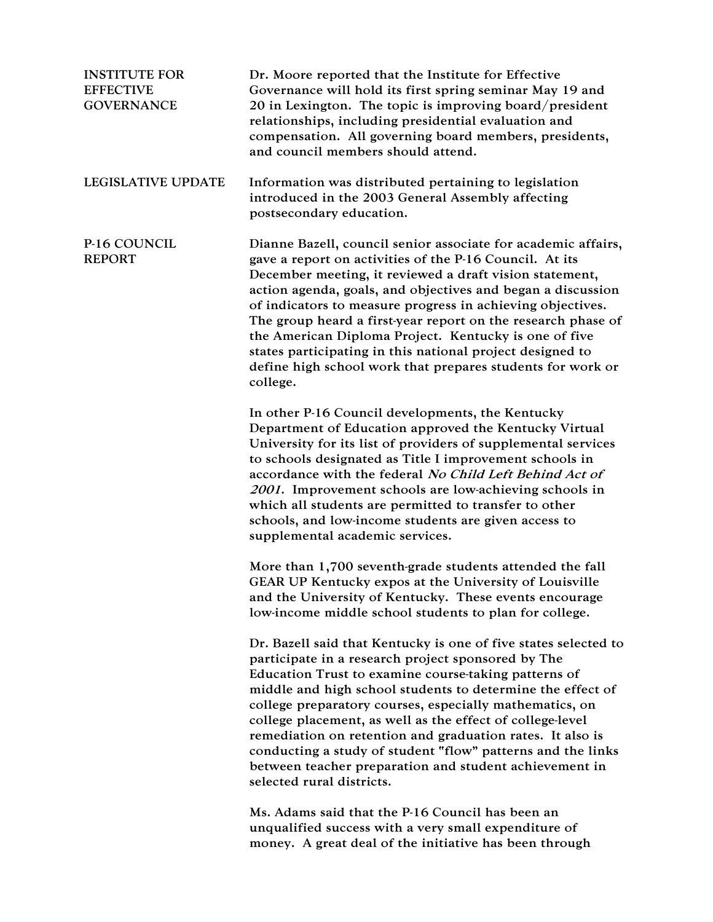| <b>INSTITUTE FOR</b><br><b>EFFECTIVE</b><br><b>GOVERNANCE</b> | Dr. Moore reported that the Institute for Effective<br>Governance will hold its first spring seminar May 19 and<br>20 in Lexington. The topic is improving board/president<br>relationships, including presidential evaluation and<br>compensation. All governing board members, presidents,<br>and council members should attend.                                                                                                                                                                                                                                                     |
|---------------------------------------------------------------|----------------------------------------------------------------------------------------------------------------------------------------------------------------------------------------------------------------------------------------------------------------------------------------------------------------------------------------------------------------------------------------------------------------------------------------------------------------------------------------------------------------------------------------------------------------------------------------|
| <b>LEGISLATIVE UPDATE</b>                                     | Information was distributed pertaining to legislation<br>introduced in the 2003 General Assembly affecting<br>postsecondary education.                                                                                                                                                                                                                                                                                                                                                                                                                                                 |
| P-16 COUNCIL<br><b>REPORT</b>                                 | Dianne Bazell, council senior associate for academic affairs,<br>gave a report on activities of the P-16 Council. At its<br>December meeting, it reviewed a draft vision statement,<br>action agenda, goals, and objectives and began a discussion<br>of indicators to measure progress in achieving objectives.<br>The group heard a first-year report on the research phase of<br>the American Diploma Project. Kentucky is one of five<br>states participating in this national project designed to<br>define high school work that prepares students for work or<br>college.       |
|                                                               | In other P-16 Council developments, the Kentucky<br>Department of Education approved the Kentucky Virtual<br>University for its list of providers of supplemental services<br>to schools designated as Title I improvement schools in<br>accordance with the federal No Child Left Behind Act of<br>2001. Improvement schools are low-achieving schools in<br>which all students are permitted to transfer to other<br>schools, and low-income students are given access to<br>supplemental academic services.                                                                         |
|                                                               | More than 1,700 seventh-grade students attended the fall<br>GEAR UP Kentucky expos at the University of Louisville<br>and the University of Kentucky. These events encourage<br>low-income middle school students to plan for college.                                                                                                                                                                                                                                                                                                                                                 |
|                                                               | Dr. Bazell said that Kentucky is one of five states selected to<br>participate in a research project sponsored by The<br>Education Trust to examine course-taking patterns of<br>middle and high school students to determine the effect of<br>college preparatory courses, especially mathematics, on<br>college placement, as well as the effect of college-level<br>remediation on retention and graduation rates. It also is<br>conducting a study of student "flow" patterns and the links<br>between teacher preparation and student achievement in<br>selected rural districts. |
|                                                               | Ms. Adams said that the P-16 Council has been an<br>unqualified success with a yew small expenditure of                                                                                                                                                                                                                                                                                                                                                                                                                                                                                |

unqualified success with a very small expenditure of money. A great deal of the initiative has been through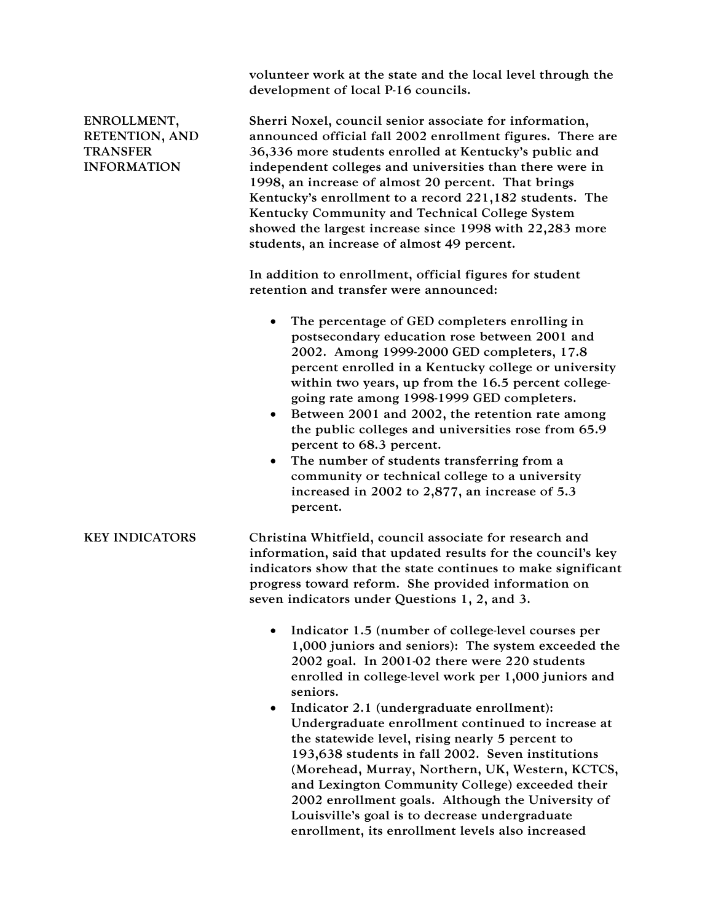|                                                                        | volunteer work at the state and the local level through the<br>development of local P-16 councils.                                                                                                                                                                                                                                                                                                                                                                                                                                                                                                                                                          |
|------------------------------------------------------------------------|-------------------------------------------------------------------------------------------------------------------------------------------------------------------------------------------------------------------------------------------------------------------------------------------------------------------------------------------------------------------------------------------------------------------------------------------------------------------------------------------------------------------------------------------------------------------------------------------------------------------------------------------------------------|
| ENROLLMENT,<br>RETENTION, AND<br><b>TRANSFER</b><br><b>INFORMATION</b> | Sherri Noxel, council senior associate for information,<br>announced official fall 2002 enrollment figures. There are<br>36,336 more students enrolled at Kentucky's public and<br>independent colleges and universities than there were in<br>1998, an increase of almost 20 percent. That brings<br>Kentucky's enrollment to a record 221,182 students. The<br>Kentucky Community and Technical College System<br>showed the largest increase since 1998 with 22,283 more<br>students, an increase of almost 49 percent.                                                                                                                                  |
|                                                                        | In addition to enrollment, official figures for student<br>retention and transfer were announced:                                                                                                                                                                                                                                                                                                                                                                                                                                                                                                                                                           |
|                                                                        | The percentage of GED completers enrolling in<br>postsecondary education rose between 2001 and<br>2002. Among 1999-2000 GED completers, 17.8<br>percent enrolled in a Kentucky college or university<br>within two years, up from the 16.5 percent college-<br>going rate among 1998-1999 GED completers.<br>Between 2001 and 2002, the retention rate among<br>$\bullet$<br>the public colleges and universities rose from 65.9<br>percent to 68.3 percent.<br>The number of students transferring from a<br>٠<br>community or technical college to a university<br>increased in 2002 to 2,877, an increase of 5.3<br>percent.                             |
| <b>KEY INDICATORS</b>                                                  | Christina Whitfield, council associate for research and<br>information, said that updated results for the council's key<br>indicators show that the state continues to make significant<br>progress toward reform. She provided information on<br>seven indicators under Questions 1, 2, and 3.                                                                                                                                                                                                                                                                                                                                                             |
|                                                                        | Indicator 1.5 (number of college-level courses per<br>٠<br>1,000 juniors and seniors): The system exceeded the<br>2002 goal. In 2001-02 there were 220 students<br>enrolled in college-level work per 1,000 juniors and<br>seniors.<br>Indicator 2.1 (undergraduate enrollment):<br>Undergraduate enrollment continued to increase at<br>the statewide level, rising nearly 5 percent to<br>193,638 students in fall 2002. Seven institutions<br>(Morehead, Murray, Northern, UK, Western, KCTCS,<br>and Lexington Community College) exceeded their<br>2002 enrollment goals. Although the University of<br>Louisville's goal is to decrease undergraduate |

enrollment, its enrollment levels also increased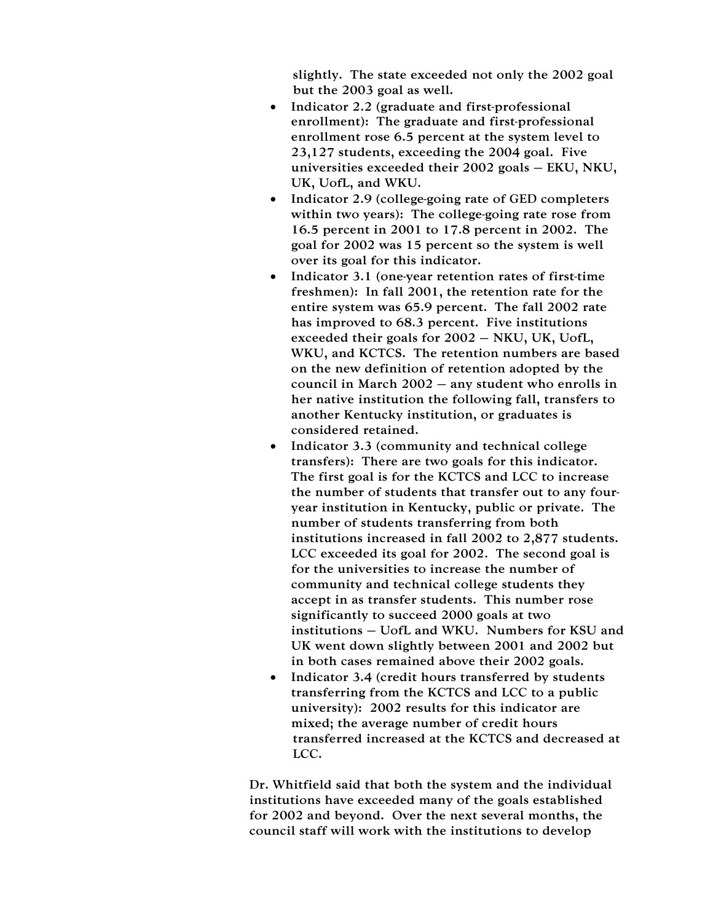slightly. The state exceeded not only the 2002 goal but the 2003 goal as well.

- Indicator 2.2 (graduate and first-professional enrollment): The graduate and first-professional enrollment rose 6.5 percent at the system level to 23,127 students, exceeding the 2004 goal. Five universities exceeded their 2002 goals – EKU, NKU, UK, UofL, and WKU.
- Indicator 2.9 (college-going rate of GED completers within two years): The college-going rate rose from 16.5 percent in 2001 to 17.8 percent in 2002. The goal for 2002 was 15 percent so the system is well over its goal for this indicator.
- Indicator 3.1 (one-year retention rates of first-time freshmen): In fall 2001, the retention rate for the entire system was 65.9 percent. The fall 2002 rate has improved to 68.3 percent. Five institutions exceeded their goals for 2002 – NKU, UK, UofL, WKU, and KCTCS. The retention numbers are based on the new definition of retention adopted by the council in March 2002 – any student who enrolls in her native institution the following fall, transfers to another Kentucky institution, or graduates is considered retained.
- Indicator 3.3 (community and technical college transfers): There are two goals for this indicator. The first goal is for the KCTCS and LCC to increase the number of students that transfer out to any fouryear institution in Kentucky, public or private. The number of students transferring from both institutions increased in fall 2002 to 2,877 students. LCC exceeded its goal for 2002. The second goal is for the universities to increase the number of community and technical college students they accept in as transfer students. This number rose significantly to succeed 2000 goals at two institutions – UofL and WKU. Numbers for KSU and UK went down slightly between 2001 and 2002 but in both cases remained above their 2002 goals.
- Indicator 3.4 (credit hours transferred by students transferring from the KCTCS and LCC to a public university): 2002 results for this indicator are mixed; the average number of credit hours transferred increased at the KCTCS and decreased at LCC.

Dr. Whitfield said that both the system and the individual institutions have exceeded many of the goals established for 2002 and beyond. Over the next several months, the council staff will work with the institutions to develop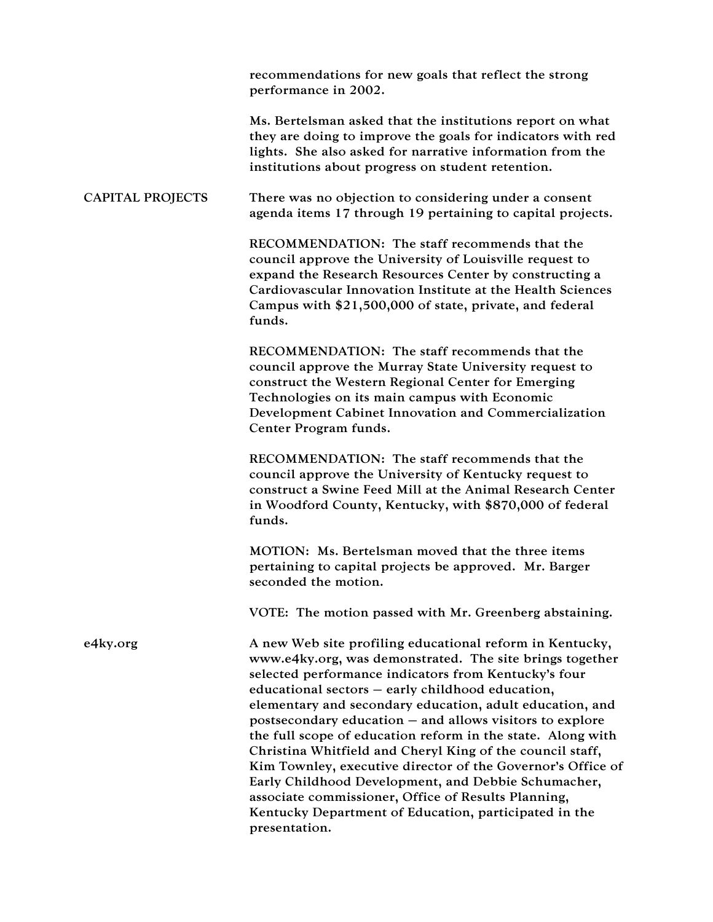|                  | recommendations for new goals that reflect the strong<br>performance in 2002.                                                                                                                                                                                                                                                                                                                                                                                                                                                                                                                                                                                     |
|------------------|-------------------------------------------------------------------------------------------------------------------------------------------------------------------------------------------------------------------------------------------------------------------------------------------------------------------------------------------------------------------------------------------------------------------------------------------------------------------------------------------------------------------------------------------------------------------------------------------------------------------------------------------------------------------|
|                  | Ms. Bertelsman asked that the institutions report on what<br>they are doing to improve the goals for indicators with red<br>lights. She also asked for narrative information from the<br>institutions about progress on student retention.                                                                                                                                                                                                                                                                                                                                                                                                                        |
| CAPITAL PROJECTS | There was no objection to considering under a consent<br>agenda items 17 through 19 pertaining to capital projects.                                                                                                                                                                                                                                                                                                                                                                                                                                                                                                                                               |
|                  | RECOMMENDATION: The staff recommends that the<br>council approve the University of Louisville request to<br>expand the Research Resources Center by constructing a<br>Cardiovascular Innovation Institute at the Health Sciences<br>Campus with \$21,500,000 of state, private, and federal<br>funds.                                                                                                                                                                                                                                                                                                                                                             |
|                  | RECOMMENDATION: The staff recommends that the<br>council approve the Murray State University request to<br>construct the Western Regional Center for Emerging<br>Technologies on its main campus with Economic<br>Development Cabinet Innovation and Commercialization<br>Center Program funds.                                                                                                                                                                                                                                                                                                                                                                   |
|                  | RECOMMENDATION: The staff recommends that the<br>council approve the University of Kentucky request to<br>construct a Swine Feed Mill at the Animal Research Center<br>in Woodford County, Kentucky, with \$870,000 of federal<br>funds.                                                                                                                                                                                                                                                                                                                                                                                                                          |
|                  | MOTION: Ms. Bertelsman moved that the three items<br>pertaining to capital projects be approved. Mr. Barger<br>seconded the motion.                                                                                                                                                                                                                                                                                                                                                                                                                                                                                                                               |
|                  | VOTE: The motion passed with Mr. Greenberg abstaining.                                                                                                                                                                                                                                                                                                                                                                                                                                                                                                                                                                                                            |
| e4ky.org         | A new Web site profiling educational reform in Kentucky,<br>www.e4ky.org, was demonstrated. The site brings together<br>selected performance indicators from Kentucky's four<br>educational sectors – early childhood education,<br>elementary and secondary education, adult education, and<br>postsecondary education – and allows visitors to explore<br>the full scope of education reform in the state. Along with<br>Christina Whitfield and Cheryl King of the council staff,<br>Kim Townley, executive director of the Governor's Office of<br>Early Childhood Development, and Debbie Schumacher,<br>associate commissioner, Office of Results Planning, |
|                  | Kentucky Department of Education, participated in the<br>presentation.                                                                                                                                                                                                                                                                                                                                                                                                                                                                                                                                                                                            |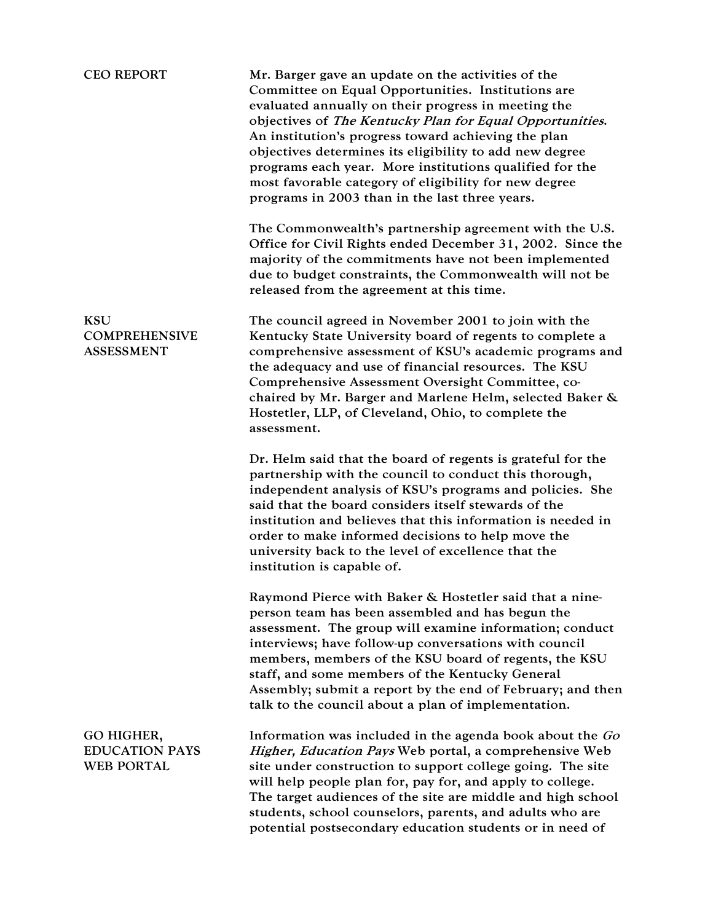| <b>CEO REPORT</b>                                        | Mr. Barger gave an update on the activities of the<br>Committee on Equal Opportunities. Institutions are<br>evaluated annually on their progress in meeting the<br>objectives of The Kentucky Plan for Equal Opportunities.<br>An institution's progress toward achieving the plan<br>objectives determines its eligibility to add new degree<br>programs each year. More institutions qualified for the<br>most favorable category of eligibility for new degree<br>programs in 2003 than in the last three years. |
|----------------------------------------------------------|---------------------------------------------------------------------------------------------------------------------------------------------------------------------------------------------------------------------------------------------------------------------------------------------------------------------------------------------------------------------------------------------------------------------------------------------------------------------------------------------------------------------|
|                                                          | The Commonwealth's partnership agreement with the U.S.<br>Office for Civil Rights ended December 31, 2002. Since the<br>majority of the commitments have not been implemented<br>due to budget constraints, the Commonwealth will not be<br>released from the agreement at this time.                                                                                                                                                                                                                               |
| <b>KSU</b><br><b>COMPREHENSIVE</b><br><b>ASSESSMENT</b>  | The council agreed in November 2001 to join with the<br>Kentucky State University board of regents to complete a<br>comprehensive assessment of KSU's academic programs and<br>the adequacy and use of financial resources. The KSU<br>Comprehensive Assessment Oversight Committee, co-<br>chaired by Mr. Barger and Marlene Helm, selected Baker &<br>Hostetler, LLP, of Cleveland, Ohio, to complete the<br>assessment.                                                                                          |
|                                                          | Dr. Helm said that the board of regents is grateful for the<br>partnership with the council to conduct this thorough,<br>independent analysis of KSU's programs and policies. She<br>said that the board considers itself stewards of the<br>institution and believes that this information is needed in<br>order to make informed decisions to help move the<br>university back to the level of excellence that the<br>institution is capable of.                                                                  |
|                                                          | Raymond Pierce with Baker & Hostetler said that a nine-<br>person team has been assembled and has begun the<br>assessment. The group will examine information; conduct<br>interviews; have follow-up conversations with council<br>members, members of the KSU board of regents, the KSU<br>staff, and some members of the Kentucky General<br>Assembly; submit a report by the end of February; and then<br>talk to the council about a plan of implementation.                                                    |
| GO HIGHER,<br><b>EDUCATION PAYS</b><br><b>WEB PORTAL</b> | Information was included in the agenda book about the Go<br>Higher, Education Pays Web portal, a comprehensive Web<br>site under construction to support college going. The site<br>will help people plan for, pay for, and apply to college.<br>The target audiences of the site are middle and high school<br>students, school counselors, parents, and adults who are<br>potential postsecondary education students or in need of                                                                                |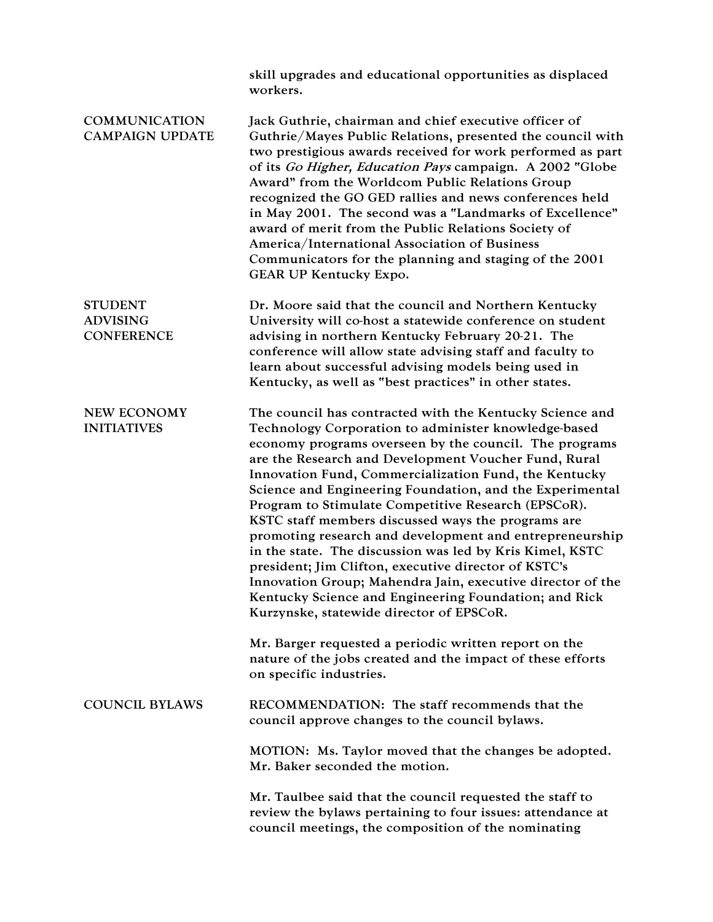|                                                        | skill upgrades and educational opportunities as displaced<br>workers.                                                                                                                                                                                                                                                                                                                                                                                                                                                                                                                                                                                                                                                                                                                                                  |
|--------------------------------------------------------|------------------------------------------------------------------------------------------------------------------------------------------------------------------------------------------------------------------------------------------------------------------------------------------------------------------------------------------------------------------------------------------------------------------------------------------------------------------------------------------------------------------------------------------------------------------------------------------------------------------------------------------------------------------------------------------------------------------------------------------------------------------------------------------------------------------------|
| <b>COMMUNICATION</b><br><b>CAMPAIGN UPDATE</b>         | Jack Guthrie, chairman and chief executive officer of<br>Guthrie/Mayes Public Relations, presented the council with<br>two prestigious awards received for work performed as part<br>of its Go Higher, Education Pays campaign. A 2002 "Globe<br>Award" from the Worldcom Public Relations Group<br>recognized the GO GED rallies and news conferences held<br>in May 2001. The second was a "Landmarks of Excellence"<br>award of merit from the Public Relations Society of<br>America/International Association of Business<br>Communicators for the planning and staging of the 2001<br>GEAR UP Kentucky Expo.                                                                                                                                                                                                     |
| <b>STUDENT</b><br><b>ADVISING</b><br><b>CONFERENCE</b> | Dr. Moore said that the council and Northern Kentucky<br>University will co-host a statewide conference on student<br>advising in northern Kentucky February 20-21. The<br>conference will allow state advising staff and faculty to<br>learn about successful advising models being used in<br>Kentucky, as well as "best practices" in other states.                                                                                                                                                                                                                                                                                                                                                                                                                                                                 |
| <b>NEW ECONOMY</b><br><b>INITIATIVES</b>               | The council has contracted with the Kentucky Science and<br>Technology Corporation to administer knowledge-based<br>economy programs overseen by the council. The programs<br>are the Research and Development Voucher Fund, Rural<br>Innovation Fund, Commercialization Fund, the Kentucky<br>Science and Engineering Foundation, and the Experimental<br>Program to Stimulate Competitive Research (EPSCoR).<br>KSTC staff members discussed ways the programs are<br>promoting research and development and entrepreneurship<br>in the state. The discussion was led by Kris Kimel, KSTC<br>president; Jim Clifton, executive director of KSTC's<br>Innovation Group; Mahendra Jain, executive director of the<br>Kentucky Science and Engineering Foundation; and Rick<br>Kurzynske, statewide director of EPSCoR. |
|                                                        | Mr. Barger requested a periodic written report on the<br>nature of the jobs created and the impact of these efforts<br>on specific industries.                                                                                                                                                                                                                                                                                                                                                                                                                                                                                                                                                                                                                                                                         |
| <b>COUNCIL BYLAWS</b>                                  | RECOMMENDATION: The staff recommends that the<br>council approve changes to the council bylaws.                                                                                                                                                                                                                                                                                                                                                                                                                                                                                                                                                                                                                                                                                                                        |
|                                                        | MOTION: Ms. Taylor moved that the changes be adopted.<br>Mr. Baker seconded the motion.                                                                                                                                                                                                                                                                                                                                                                                                                                                                                                                                                                                                                                                                                                                                |
|                                                        | Mr. Taulbee said that the council requested the staff to<br>review the bylaws pertaining to four issues: attendance at<br>council meetings, the composition of the nominating                                                                                                                                                                                                                                                                                                                                                                                                                                                                                                                                                                                                                                          |